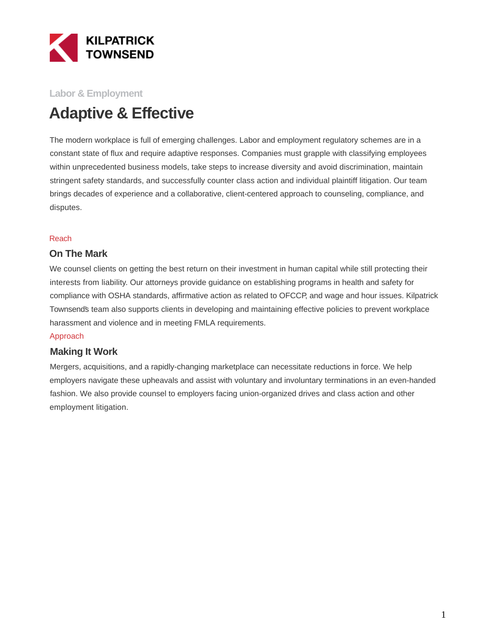

### **Labor & Employment**

# **Adaptive & Effective**

The modern workplace is full of emerging challenges. Labor and employment regulatory schemes are in a constant state of flux and require adaptive responses. Companies must grapple with classifying employees within unprecedented business models, take steps to increase diversity and avoid discrimination, maintain stringent safety standards, and successfully counter class action and individual plaintiff litigation. Our team brings decades of experience and a collaborative, client-centered approach to counseling, compliance, and disputes.

#### Reach

#### **On The Mark**

We counsel clients on getting the best return on their investment in human capital while still protecting their interests from liability. Our attorneys provide guidance on establishing programs in health and safety for compliance with OSHA standards, affirmative action as related to OFCCP, and wage and hour issues. Kilpatrick Townsend's team also supports clients in developing and maintaining effective policies to prevent workplace harassment and violence and in meeting FMLA requirements.

#### Approach

#### **Making It Work**

Mergers, acquisitions, and a rapidly-changing marketplace can necessitate reductions in force. We help employers navigate these upheavals and assist with voluntary and involuntary terminations in an even-handed fashion. We also provide counsel to employers facing union-organized drives and class action and other employment litigation.